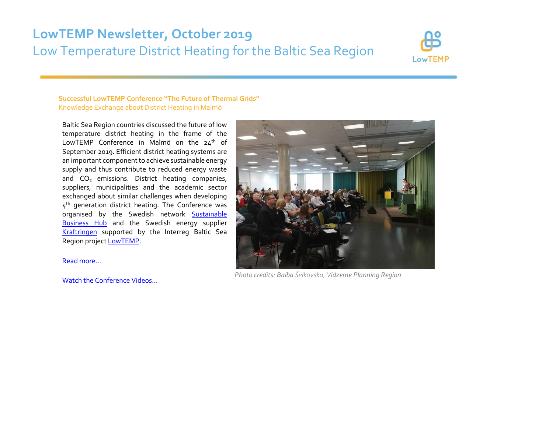# **LowTEMP Newsletter, October 2019** Low Temperature District Heating for the Baltic Sea Region



# **Successful LowTEMP Conference "The Future of Thermal Grids"** Knowledge Exchange about District Heating in Malmö

Baltic Sea Region countries discussed the future of low temperature district heating in the frame of the LowTEMP Conference in Malmö on the  $24<sup>th</sup>$  of September 2019. Efficient district heating systems are an important component to achieve sustainable energy supply and thus contribute to reduced energy waste and CO<sub>2</sub> emissions. District heating companies, suppliers, municipalities and the academic sector exchanged about similar challenges when developing 4<sup>th</sup> generation district heating. The Conference was organised by the Swedish network **Sustainable [Business Hub](http://www.lowtemp.eu/partners/sustainable-business-hub/)** and the Swedish energy supplier [Kraftringen](https://www.kraftringen.se/privat/) supported by the Interreg Baltic Sea Region projec[t LowTEMP](http://www.lowtemp.eu/).

### [Read more…](http://www.lowtemp.eu/uncategorized/lowtemp-conference-the-future-of-thermal-grids/)

[Watch the Conference Videos…](https://www.youtube.com/playlist?list=PLXeHebi9Vr1xkkVRs9iP21S4BRIForczW&advanced_settings=1&disable_polymer=1)



*Photo credits: Baiba Šelkovska, Vidzeme Planning Region*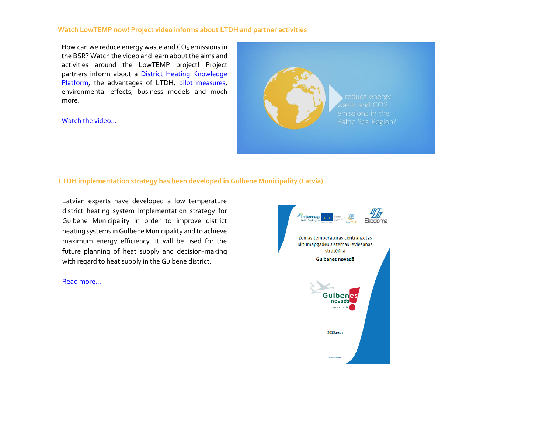# **Watch LowTEMP now! Project video informs about LTDH and partner activities**

How can we reduce energy waste and  $CO<sub>2</sub>$  emissions in the BSR? Watch the video and learn about the aims and activities around the LowTEMP project! Project partners inform about a **District Heating Knowledge** [Platform,](http://www.dhknowledge.eu/) the advantages of LTDH, [pilot measures,](http://www.lowtemp.eu/map/) environmental effects, business models and much more.

[Watch the video…](https://www.youtube.com/watch?v=Du6D1uQtxTg)



# **LTDH implementation strategy has been developed in Gulbene Municipality (Latvia)**

Latvian experts have developed a low temperature district heating system implementation strategy for Gulbene Municipality in order to improve district heating systems in Gulbene Municipality and to achieve maximum energy efficiency. It will be used for the future planning of heat supply and decision-making with regard to heat supply in the Gulbene district.

#### [Read more…](http://www.lowtemp.eu/uncategorized/ltdh-implementation-strategy-has-been-developed-in-gulbene-municipality-latvia/)

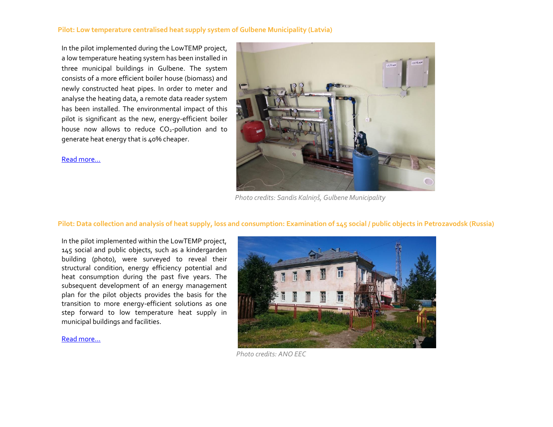# **Pilot: Low temperature centralised heat supply system of Gulbene Municipality (Latvia)**

In the pilot implemented during the LowTEMP project, a low temperature heating system has been installed in three municipal buildings in Gulbene. The system consists of a more efficient boiler house (biomass) and newly constructed heat pipes. In order to meter and analyse the heating data, a remote data reader system has been installed. The environmental impact of this pilot is significant as the new, energy-efficient boiler house now allows to reduce  $CO<sub>2</sub>$ -pollution and to generate heat energy that is 40% cheaper.

[Read more…](http://www.lowtemp.eu/low-temperature-centralised-heat-supply-system-of-gulbene-municipality-belava-village/)



*Photo credits: Sandis Kalniņš, Gulbene Municipality*

# **Pilot: Data collection and analysis of heat supply, loss and consumption: Examination of 145 social / public objects in Petrozavodsk (Russia)**

In the pilot implemented within the LowTEMP project, 145 social and public objects, such as a kindergarden building (photo), were surveyed to reveal their structural condition, energy efficiency potential and heat consumption during the past five years. The subsequent development of an energy management plan for the pilot objects provides the basis for the transition to more energy-efficient solutions as one step forward to low temperature heat supply in municipal buildings and facilities.



[Read more...](http://www.lowtemp.eu/collection-and-analysis-of-data-on-heat-supply-heat-losses-and-heat-consumption-petrozavodsk/)

*Photo credits: ANO EEC*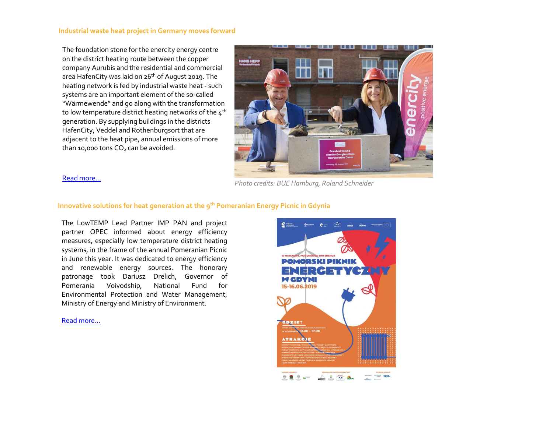### **Industrial waste heat project in Germany moves forward**

The foundation stone for the enercity energy centre on the district heating route between the copper company Aurubis and the residential and commercial area HafenCity was laid on 26<sup>th</sup> of August 2019. The heating network is fed by industrial waste heat - such systems are an important element of the so-called "Wärmewende" and go along with the transformation to low temperature district heating networks of the 4<sup>th</sup> generation. By supplying buildings in the districts HafenCity, Veddel and Rothenburgsort that are adjacent to the heat pipe, annual emissions of more than 10,000 tons  $CO<sub>2</sub>$  can be avoided.



[Read more…](http://www.lowtemp.eu/uncategorized/industrial-waste-heat-project-moves-forward/) *Photo credits: BUE Hamburg, Roland Schneider*

# **Innovative solutions for heat generation at the 9th Pomeranian Energy Picnic in Gdynia**

The LowTEMP Lead Partner IMP PAN and project partner OPEC informed about energy efficiency measures, especially low temperature district heating systems, in the frame of the annual Pomeranian Picnic in June this year. It was dedicated to energy efficiency and renewable energy sources. The honorary patronage took Dariusz Drelich, Governor of Pomerania Voivodship, National Fund for Environmental Protection and Water Management, Ministry of Energy and Ministry of Environment.

#### [Read more...](http://www.lowtemp.eu/uncategorized/pomorski-piknik-energetyczny-w-gdyni/)

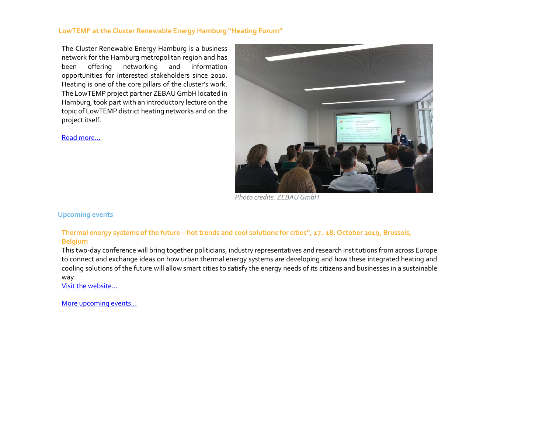# **LowTEMP at the Cluster Renewable Energy Hamburg "Heating Forum"**

The Cluster Renewable Energy Hamburg is a business network for the Hamburg metropolitan region and has been offering networking and information opportunities for interested stakeholders since 2010. Heating is one of the core pillars of the cluster's work. The LowTEMP project partner ZEBAU GmbH located in Hamburg, took part with an introductory lecture on the topic of LowTEMP district heating networks and on the project itself.

[Read more…](http://www.lowtemp.eu/uncategorized/lowtemp-at-the-cluster-renewable-energy-hamburg-heating-forum/)



*Photo credits: ZEBAU GmbH*

**Upcoming events**

# **Thermal energy systems of the future – hot trends and cool solutions for cities", 17.-18. October 2019, Brussels, Belgium**

This two-day conference will bring together politicians, industry representatives and research institutions from across Europe to connect and exchange ideas on how urban thermal energy systems are developing and how these integrated heating and cooling solutions of the future will allow smart cities to satisfy the energy needs of its citizens and businesses in a sustainable way.

[Visit the web](https://en-gb.invajo.com/event/celsiusinitiative/thermalenergysystemsofthefuturehottrendsandcoolsolutionsforcities)site…

[More upcoming events…](http://www.lowtemp.eu/events/)